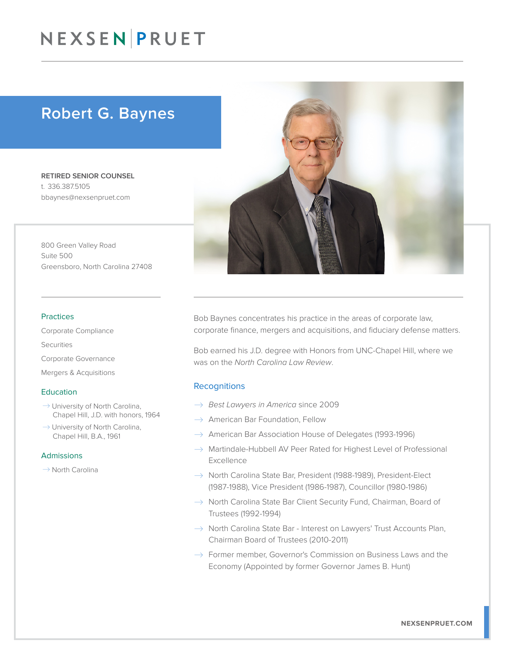## NEXSEN PRUET

### Robert G. Baynes

RETIRED SENIOR COUNSEL t. 336.387.5105 bbaynes@nexsenpruet.com

800 Green Valley Road Suite 500 Greensboro, North Carolina 27408

#### Practices

Corporate Compliance Securities Corporate Governance Mergers & Acquisitions

#### **Education**

- $\rightarrow$  University of North Carolina, Chapel Hill, J.D. with honors, 1964
- $\rightarrow$  University of North Carolina, Chapel Hill, B.A., 1961

#### Admissions

 $\rightarrow$  North Carolina



Bob Baynes concentrates his practice in the areas of corporate law, corporate finance, mergers and acquisitions, and fiduciary defense matters.

Bob earned his J.D. degree with Honors from UNC-Chapel Hill, where we was on the *North Carolina Law Review*.

#### **Recognitions**

- � *Best Lawyers in America* since 2009
- $\rightarrow$  American Bar Foundation, Fellow
- $\rightarrow$  American Bar Association House of Delegates (1993-1996)
- $\rightarrow$  Martindale-Hubbell AV Peer Rated for Highest Level of Professional Excellence
- $\rightarrow$  North Carolina State Bar, President (1988-1989), President-Elect (1987-1988), Vice President (1986-1987), Councillor (1980-1986)
- $\rightarrow$  North Carolina State Bar Client Security Fund, Chairman, Board of Trustees (1992-1994)
- $\rightarrow$  North Carolina State Bar Interest on Lawyers' Trust Accounts Plan, Chairman Board of Trustees (2010-2011)
- $\rightarrow$  Former member, Governor's Commission on Business Laws and the Economy (Appointed by former Governor James B. Hunt)